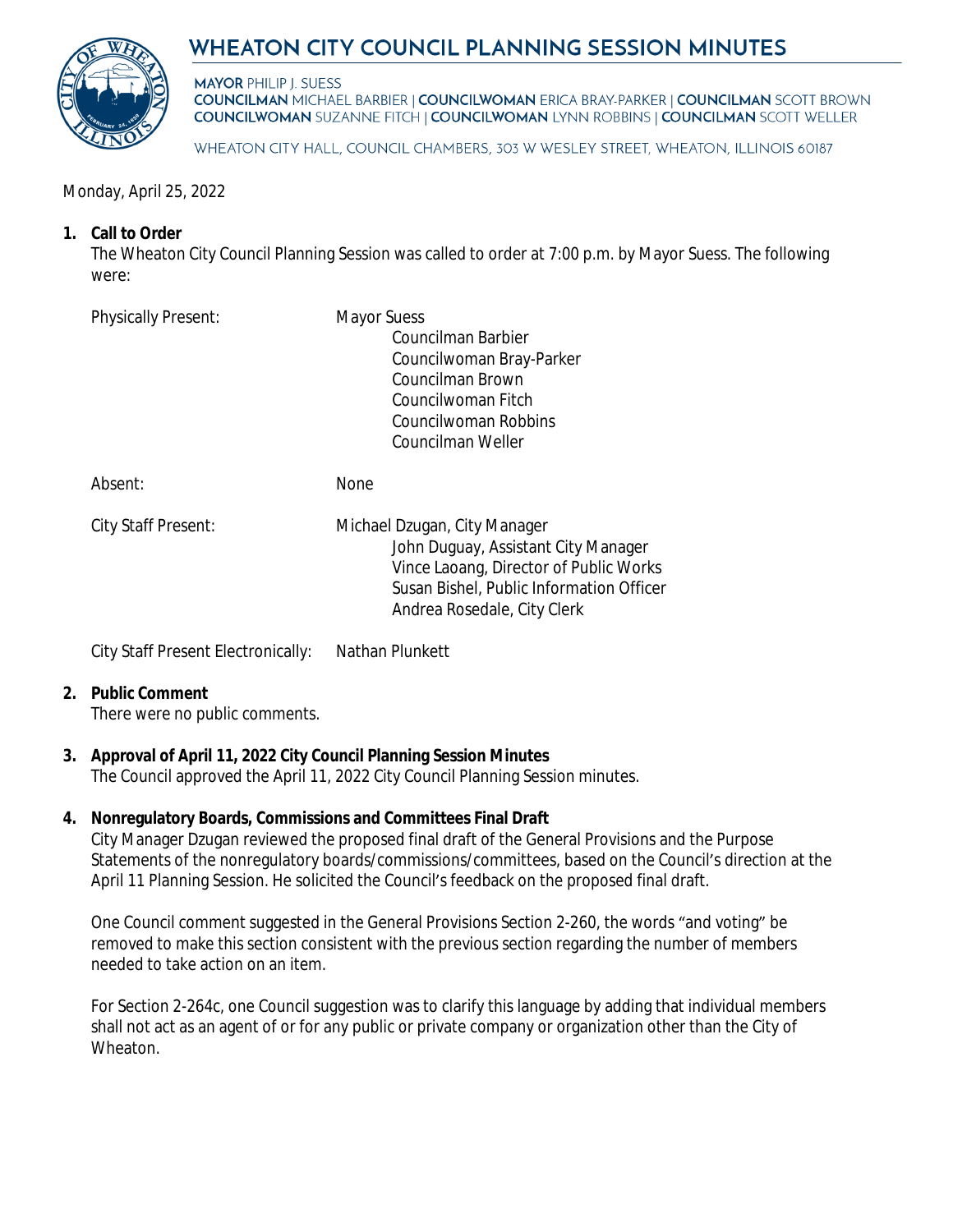# WHEATON CITY COUNCIL PLANNING SESSION MINUTES



**MAYOR PHILIP I. SUESS COUNCILMAN MICHAEL BARBIER | COUNCILWOMAN ERICA BRAY-PARKER | COUNCILMAN SCOTT BROWN COUNCILWOMAN SUZANNE FITCH | COUNCILWOMAN LYNN ROBBINS | COUNCILMAN SCOTT WELLER** 

WHEATON CITY HALL, COUNCIL CHAMBERS, 303 W WESLEY STREET, WHEATON, ILLINOIS 60187

Monday, April 25, 2022

## **1. Call to Order**

The Wheaton City Council Planning Session was called to order at 7:00 p.m. by Mayor Suess. The following were:

| <b>Physically Present:</b> | <b>Mayor Suess</b><br>Councilman Barbier<br>Councilwoman Bray-Parker<br>Councilman Brown<br>Councilwoman Fitch<br>Councilwoman Robbins<br>Councilman Weller                              |
|----------------------------|------------------------------------------------------------------------------------------------------------------------------------------------------------------------------------------|
| Absent:                    | <b>None</b>                                                                                                                                                                              |
| <b>City Staff Present:</b> | Michael Dzugan, City Manager<br>John Duguay, Assistant City Manager<br>Vince Laoang, Director of Public Works<br>Susan Bishel, Public Information Officer<br>Andrea Rosedale, City Clerk |

City Staff Present Electronically: Nathan Plunkett

## **2. Public Comment**

There were no public comments.

## **3. Approval of April 11, 2022 City Council Planning Session Minutes**

The Council approved the April 11, 2022 City Council Planning Session minutes.

## **4. Nonregulatory Boards, Commissions and Committees Final Draft**

City Manager Dzugan reviewed the proposed final draft of the General Provisions and the Purpose Statements of the nonregulatory boards/commissions/committees, based on the Council's direction at the April 11 Planning Session. He solicited the Council's feedback on the proposed final draft.

One Council comment suggested in the General Provisions Section 2-260, the words "and voting" be removed to make this section consistent with the previous section regarding the number of members needed to take action on an item.

For Section 2-264c, one Council suggestion was to clarify this language by adding that individual members shall not act as an agent of or for any public or private company or organization other than the City of Wheaton.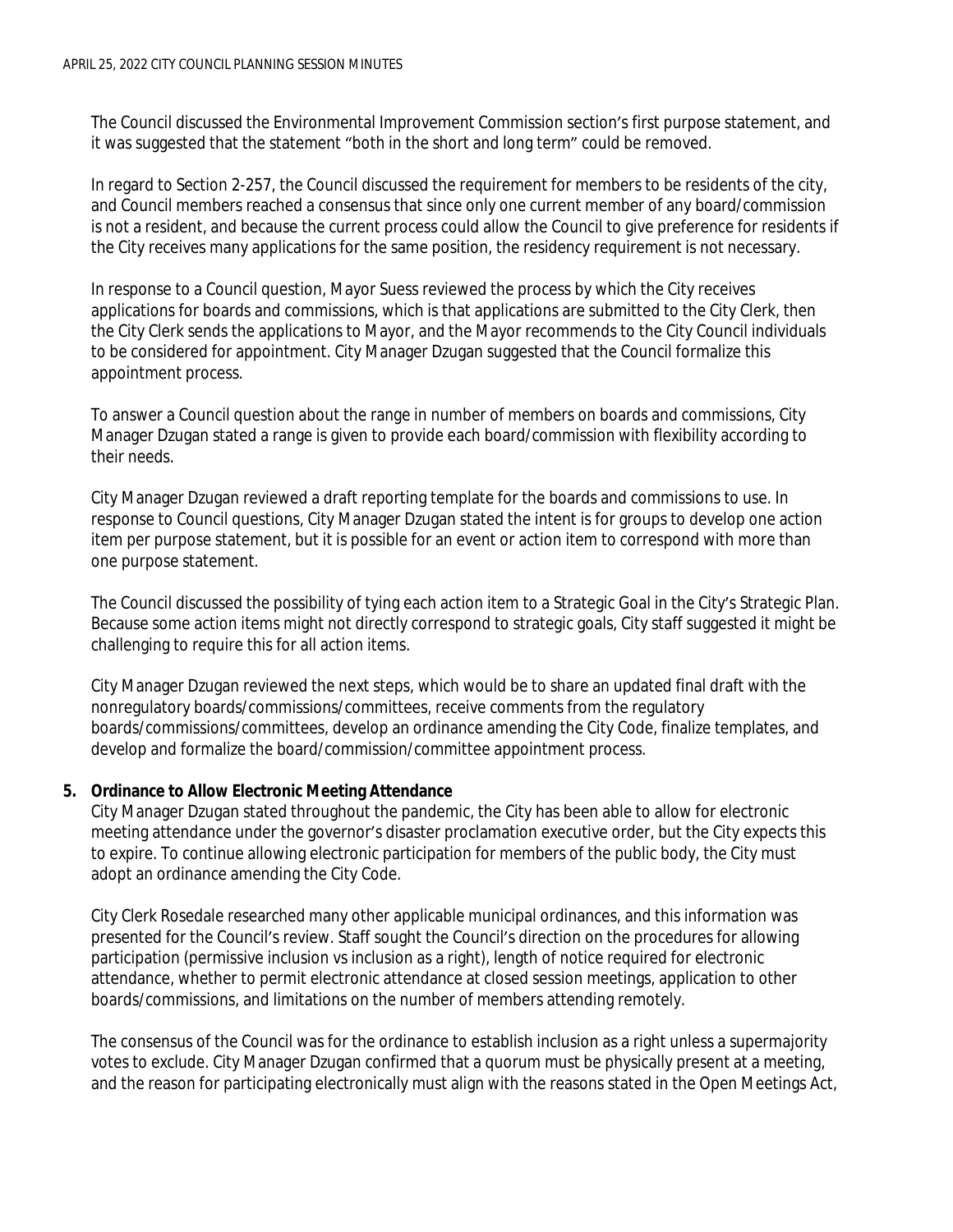The Council discussed the Environmental Improvement Commission section's first purpose statement, and it was suggested that the statement "both in the short and long term" could be removed.

In regard to Section 2-257, the Council discussed the requirement for members to be residents of the city, and Council members reached a consensus that since only one current member of any board/commission is not a resident, and because the current process could allow the Council to give preference for residents if the City receives many applications for the same position, the residency requirement is not necessary.

In response to a Council question, Mayor Suess reviewed the process by which the City receives applications for boards and commissions, which is that applications are submitted to the City Clerk, then the City Clerk sends the applications to Mayor, and the Mayor recommends to the City Council individuals to be considered for appointment. City Manager Dzugan suggested that the Council formalize this appointment process.

To answer a Council question about the range in number of members on boards and commissions, City Manager Dzugan stated a range is given to provide each board/commission with flexibility according to their needs.

City Manager Dzugan reviewed a draft reporting template for the boards and commissions to use. In response to Council questions, City Manager Dzugan stated the intent is for groups to develop one action item per purpose statement, but it is possible for an event or action item to correspond with more than one purpose statement.

The Council discussed the possibility of tying each action item to a Strategic Goal in the City's Strategic Plan. Because some action items might not directly correspond to strategic goals, City staff suggested it might be challenging to require this for all action items.

City Manager Dzugan reviewed the next steps, which would be to share an updated final draft with the nonregulatory boards/commissions/committees, receive comments from the regulatory boards/commissions/committees, develop an ordinance amending the City Code, finalize templates, and develop and formalize the board/commission/committee appointment process.

#### **5. Ordinance to Allow Electronic Meeting Attendance**

City Manager Dzugan stated throughout the pandemic, the City has been able to allow for electronic meeting attendance under the governor's disaster proclamation executive order, but the City expects this to expire. To continue allowing electronic participation for members of the public body, the City must adopt an ordinance amending the City Code.

City Clerk Rosedale researched many other applicable municipal ordinances, and this information was presented for the Council's review. Staff sought the Council's direction on the procedures for allowing participation (permissive inclusion vs inclusion as a right), length of notice required for electronic attendance, whether to permit electronic attendance at closed session meetings, application to other boards/commissions, and limitations on the number of members attending remotely.

The consensus of the Council was for the ordinance to establish inclusion as a right unless a supermajority votes to exclude. City Manager Dzugan confirmed that a quorum must be physically present at a meeting, and the reason for participating electronically must align with the reasons stated in the Open Meetings Act,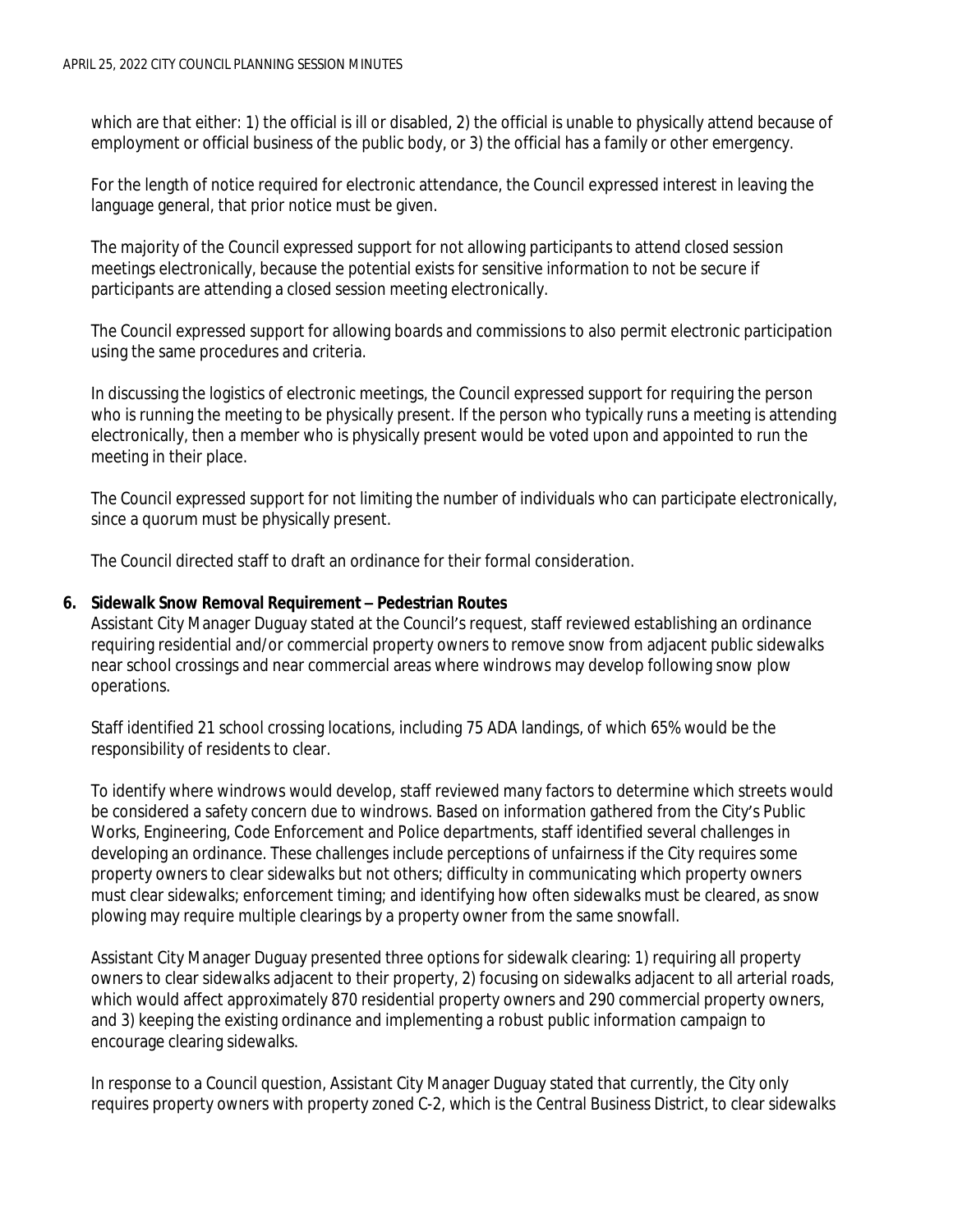which are that either: 1) the official is ill or disabled, 2) the official is unable to physically attend because of employment or official business of the public body, or 3) the official has a family or other emergency.

For the length of notice required for electronic attendance, the Council expressed interest in leaving the language general, that prior notice must be given.

The majority of the Council expressed support for not allowing participants to attend closed session meetings electronically, because the potential exists for sensitive information to not be secure if participants are attending a closed session meeting electronically.

The Council expressed support for allowing boards and commissions to also permit electronic participation using the same procedures and criteria.

In discussing the logistics of electronic meetings, the Council expressed support for requiring the person who is running the meeting to be physically present. If the person who typically runs a meeting is attending electronically, then a member who is physically present would be voted upon and appointed to run the meeting in their place.

The Council expressed support for not limiting the number of individuals who can participate electronically, since a quorum must be physically present.

The Council directed staff to draft an ordinance for their formal consideration.

#### **6. Sidewalk Snow Removal Requirement – Pedestrian Routes**

Assistant City Manager Duguay stated at the Council's request, staff reviewed establishing an ordinance requiring residential and/or commercial property owners to remove snow from adjacent public sidewalks near school crossings and near commercial areas where windrows may develop following snow plow operations.

Staff identified 21 school crossing locations, including 75 ADA landings, of which 65% would be the responsibility of residents to clear.

To identify where windrows would develop, staff reviewed many factors to determine which streets would be considered a safety concern due to windrows. Based on information gathered from the City's Public Works, Engineering, Code Enforcement and Police departments, staff identified several challenges in developing an ordinance. These challenges include perceptions of unfairness if the City requires some property owners to clear sidewalks but not others; difficulty in communicating which property owners must clear sidewalks; enforcement timing; and identifying how often sidewalks must be cleared, as snow plowing may require multiple clearings by a property owner from the same snowfall.

Assistant City Manager Duguay presented three options for sidewalk clearing: 1) requiring all property owners to clear sidewalks adjacent to their property, 2) focusing on sidewalks adjacent to all arterial roads, which would affect approximately 870 residential property owners and 290 commercial property owners, and 3) keeping the existing ordinance and implementing a robust public information campaign to encourage clearing sidewalks.

In response to a Council question, Assistant City Manager Duguay stated that currently, the City only requires property owners with property zoned C-2, which is the Central Business District, to clear sidewalks